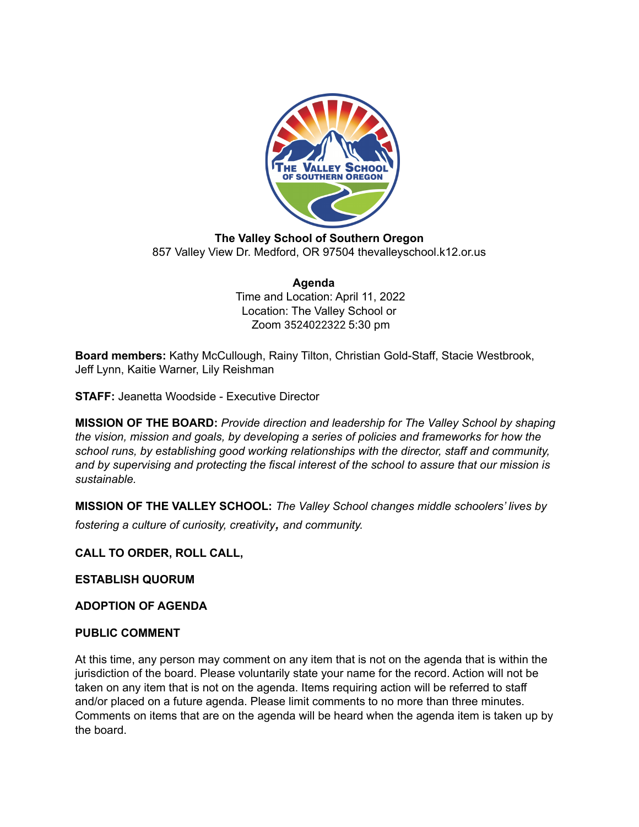

**The Valley School of Southern Oregon** 857 Valley View Dr. Medford, OR 97504 thevalleyschool.k12.or.us

> **Agenda** Time and Location: April 11, 2022 Location: The Valley School or Zoom 3524022322 5:30 pm

**Board members:** Kathy McCullough, Rainy Tilton, Christian Gold-Staff, Stacie Westbrook, Jeff Lynn, Kaitie Warner, Lily Reishman

**STAFF:** Jeanetta Woodside - Executive Director

**MISSION OF THE BOARD:** *Provide direction and leadership for The Valley School by shaping the vision, mission and goals, by developing a series of policies and frameworks for how the school runs, by establishing good working relationships with the director, staff and community, and by supervising and protecting the fiscal interest of the school to assure that our mission is sustainable.*

**MISSION OF THE VALLEY SCHOOL:** *The Valley School changes middle schoolers' lives by fostering <sup>a</sup> culture of curiosity, creativity, and community.*

**CALL TO ORDER, ROLL CALL,**

**ESTABLISH QUORUM**

**ADOPTION OF AGENDA**

#### **PUBLIC COMMENT**

At this time, any person may comment on any item that is not on the agenda that is within the jurisdiction of the board. Please voluntarily state your name for the record. Action will not be taken on any item that is not on the agenda. Items requiring action will be referred to staff and/or placed on a future agenda. Please limit comments to no more than three minutes. Comments on items that are on the agenda will be heard when the agenda item is taken up by the board.